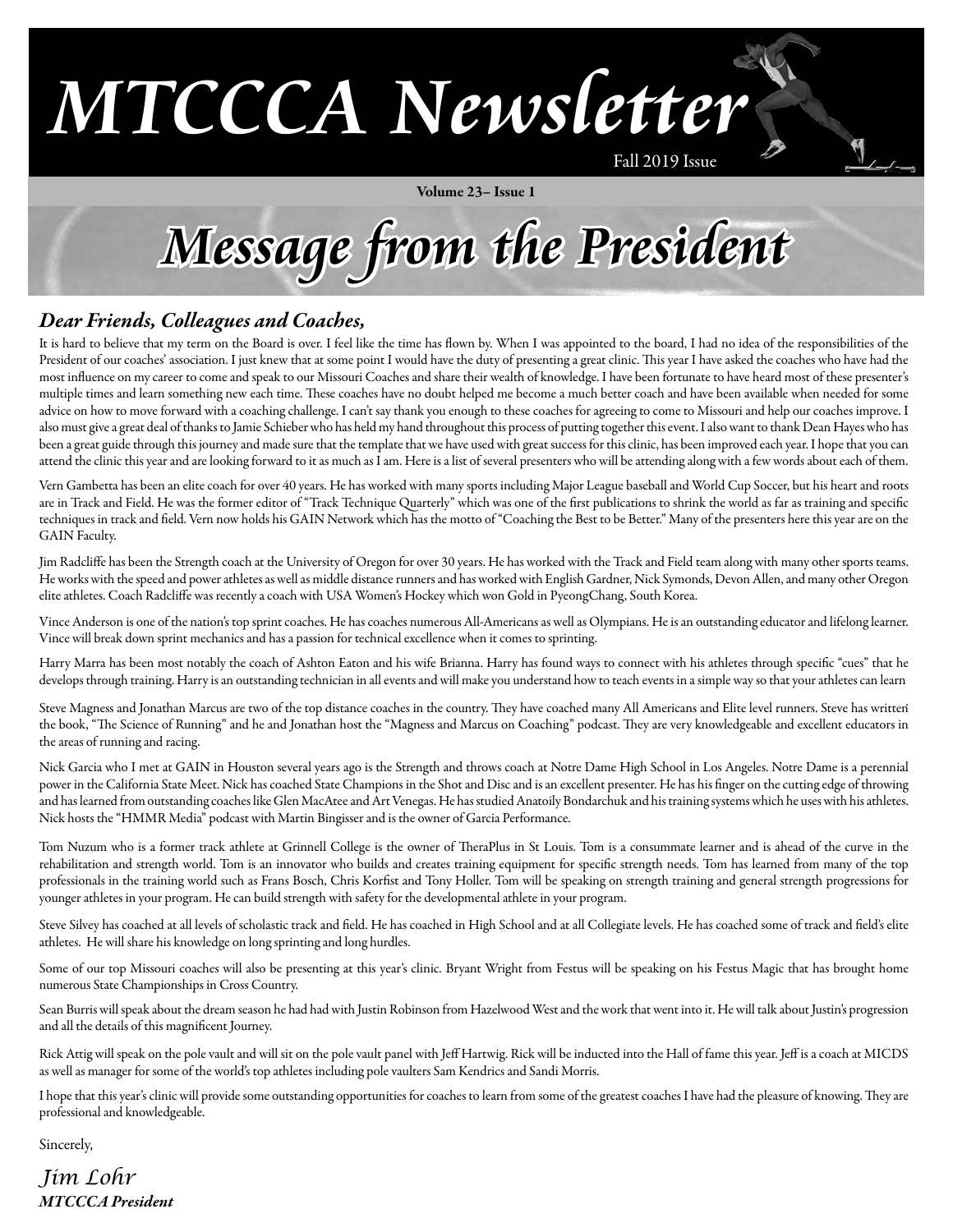# **MTCCCA Newsletter**

Volume 23– Issue 1

Fall 2019 Issue

**Message from the President**

### *Dear Friends, Colleagues and Coaches,*

It is hard to believe that my term on the Board is over. I feel like the time has flown by. When I was appointed to the board, I had no idea of the responsibilities of the President of our coaches' association. I just knew that at some point I would have the duty of presenting a great clinic. This year I have asked the coaches who have had the most influence on my career to come and speak to our Missouri Coaches and share their wealth of knowledge. I have been fortunate to have heard most of these presenter's multiple times and learn something new each time. These coaches have no doubt helped me become a much better coach and have been available when needed for some advice on how to move forward with a coaching challenge. I can't say thank you enough to these coaches for agreeing to come to Missouri and help our coaches improve. I also must give a great deal of thanks to Jamie Schieber who has held my hand throughout this process of putting together this event. I also want to thank Dean Hayes who has been a great guide through this journey and made sure that the template that we have used with great success for this clinic, has been improved each year. I hope that you can attend the clinic this year and are looking forward to it as much as I am. Here is a list of several presenters who will be attending along with a few words about each of them.

Vern Gambetta has been an elite coach for over 40 years. He has worked with many sports including Major League baseball and World Cup Soccer, but his heart and roots are in Track and Field. He was the former editor of "Track Technique Quarterly" which was one of the first publications to shrink the world as far as training and specific techniques in track and field. Vern now holds his GAIN Network which has the motto of "Coaching the Best to be Better." Many of the presenters here this year are on the GAIN Faculty.

Jim Radcliffe has been the Strength coach at the University of Oregon for over 30 years. He has worked with the Track and Field team along with many other sports teams. He works with the speed and power athletes as well as middle distance runners and has worked with English Gardner, Nick Symonds, Devon Allen, and many other Oregon elite athletes. Coach Radcliffe was recently a coach with USA Women's Hockey which won Gold in PyeongChang, South Korea.

Vince Anderson is one of the nation's top sprint coaches. He has coaches numerous All-Americans as well as Olympians. He is an outstanding educator and lifelong learner. Vince will break down sprint mechanics and has a passion for technical excellence when it comes to sprinting.

Harry Marra has been most notably the coach of Ashton Eaton and his wife Brianna. Harry has found ways to connect with his athletes through specific "cues" that he develops through training. Harry is an outstanding technician in all events and will make you understand how to teach events in a simple way so that your athletes can learn

. Steve Magness and Jonathan Marcus are two of the top distance coaches in the country. They have coached many All Americans and Elite level runners. Steve has written the book, "The Science of Running" and he and Jonathan host the "Magness and Marcus on Coaching" podcast. They are very knowledgeable and excellent educators in the areas of running and racing.

Nick Garcia who I met at GAIN in Houston several years ago is the Strength and throws coach at Notre Dame High School in Los Angeles. Notre Dame is a perennial power in the California State Meet. Nick has coached State Champions in the Shot and Disc and is an excellent presenter. He has his finger on the cutting edge of throwing and has learned from outstanding coaches like Glen MacAtee and Art Venegas. He has studied Anatoily Bondarchuk and his training systems which he uses with his athletes. Nick hosts the "HMMR Media" podcast with Martin Bingisser and is the owner of Garcia Performance.

Tom Nuzum who is a former track athlete at Grinnell College is the owner of TheraPlus in St Louis. Tom is a consummate learner and is ahead of the curve in the rehabilitation and strength world. Tom is an innovator who builds and creates training equipment for specific strength needs. Tom has learned from many of the top professionals in the training world such as Frans Bosch, Chris Korfist and Tony Holler. Tom will be speaking on strength training and general strength progressions for younger athletes in your program. He can build strength with safety for the developmental athlete in your program.

Steve Silvey has coached at all levels of scholastic track and field. He has coached in High School and at all Collegiate levels. He has coached some of track and field's elite athletes. He will share his knowledge on long sprinting and long hurdles.

Some of our top Missouri coaches will also be presenting at this year's clinic. Bryant Wright from Festus will be speaking on his Festus Magic that has brought home numerous State Championships in Cross Country.

Sean Burris will speak about the dream season he had had with Justin Robinson from Hazelwood West and the work that went into it. He will talk about Justin's progression and all the details of this magnificent Journey.

Rick Attig will speak on the pole vault and will sit on the pole vault panel with Jeff Hartwig. Rick will be inducted into the Hall of fame this year. Jeff is a coach at MICDS as well as manager for some of the world's top athletes including pole vaulters Sam Kendrics and Sandi Morris.

I hope that this year's clinic will provide some outstanding opportunities for coaches to learn from some of the greatest coaches I have had the pleasure of knowing. They are professional and knowledgeable.

Sincerely,

*Jim Lohr MTCCCA President*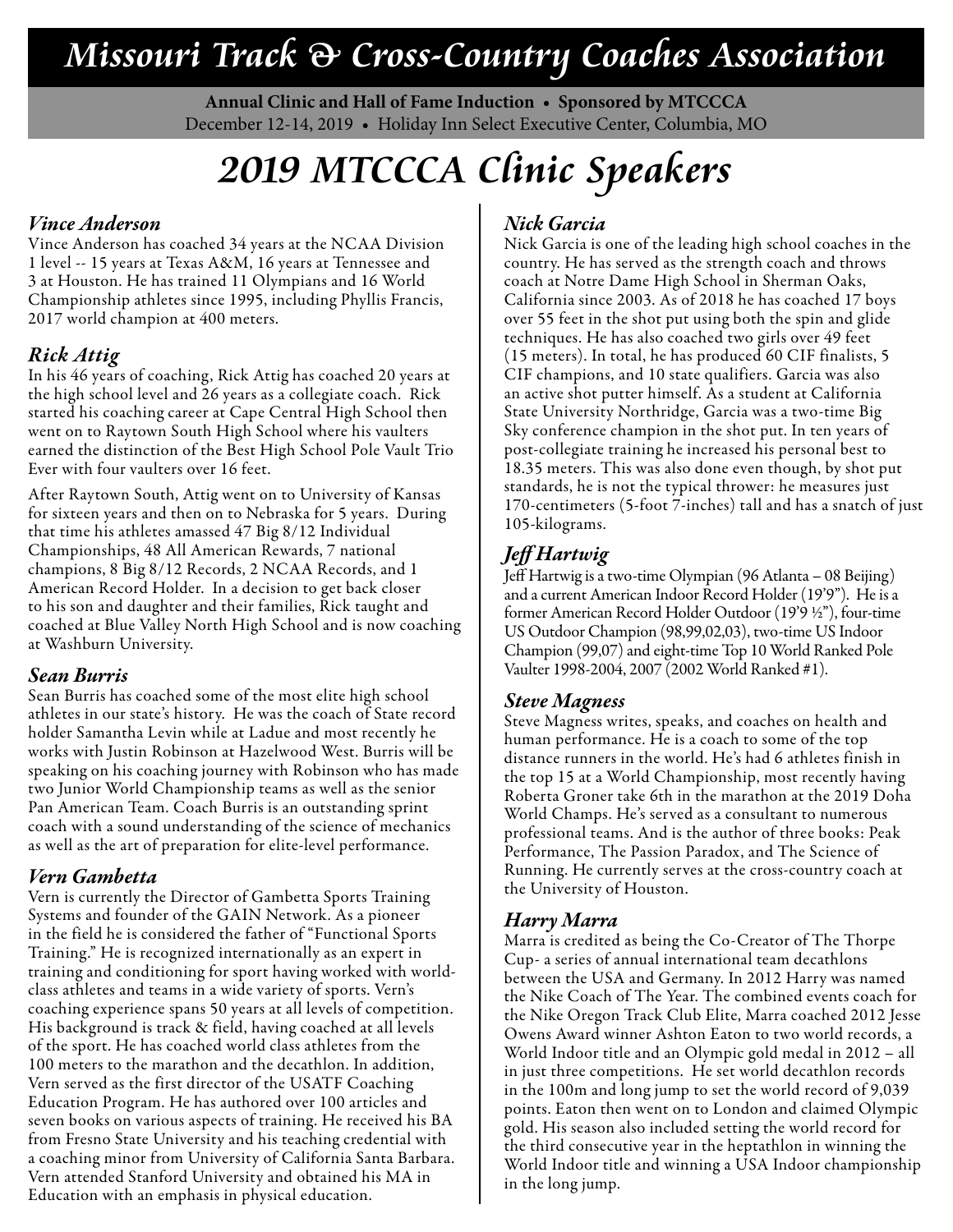### **Missouri Track & Cross-Country Coaches Association**

**Annual Clinic and Hall of Fame Induction • Sponsored by MTCCCA** December 12-14, 2019 • Holiday Inn Select Executive Center, Columbia, MO

# **2019 MTCCCA Clinic Speakers**

### *Vince Anderson*

Vince Anderson has coached 34 years at the NCAA Division 1 level -- 15 years at Texas A&M, 16 years at Tennessee and 3 at Houston. He has trained 11 Olympians and 16 World Championship athletes since 1995, including Phyllis Francis, 2017 world champion at 400 meters.

### *Rick Attig*

In his 46 years of coaching, Rick Attig has coached 20 years at the high school level and 26 years as a collegiate coach. Rick started his coaching career at Cape Central High School then went on to Raytown South High School where his vaulters earned the distinction of the Best High School Pole Vault Trio Ever with four vaulters over 16 feet.

After Raytown South, Attig went on to University of Kansas for sixteen years and then on to Nebraska for 5 years. During that time his athletes amassed 47 Big 8/12 Individual Championships, 48 All American Rewards, 7 national champions, 8 Big 8/12 Records, 2 NCAA Records, and 1 American Record Holder. In a decision to get back closer to his son and daughter and their families, Rick taught and coached at Blue Valley North High School and is now coaching at Washburn University.

### *Sean Burris*

Sean Burris has coached some of the most elite high school athletes in our state's history. He was the coach of State record holder Samantha Levin while at Ladue and most recently he works with Justin Robinson at Hazelwood West. Burris will be speaking on his coaching journey with Robinson who has made two Junior World Championship teams as well as the senior Pan American Team. Coach Burris is an outstanding sprint coach with a sound understanding of the science of mechanics as well as the art of preparation for elite-level performance.

### *Vern Gambetta*

Vern is currently the Director of Gambetta Sports Training Systems and founder of the GAIN Network. As a pioneer in the field he is considered the father of "Functional Sports Training." He is recognized internationally as an expert in training and conditioning for sport having worked with worldclass athletes and teams in a wide variety of sports. Vern's coaching experience spans 50 years at all levels of competition. His background is track & field, having coached at all levels of the sport. He has coached world class athletes from the 100 meters to the marathon and the decathlon. In addition, Vern served as the first director of the USATF Coaching Education Program. He has authored over 100 articles and seven books on various aspects of training. He received his BA from Fresno State University and his teaching credential with a coaching minor from University of California Santa Barbara. Vern attended Stanford University and obtained his MA in Education with an emphasis in physical education.

### *Nick Garcia*

Nick Garcia is one of the leading high school coaches in the country. He has served as the strength coach and throws coach at Notre Dame High School in Sherman Oaks, California since 2003. As of 2018 he has coached 17 boys over 55 feet in the shot put using both the spin and glide techniques. He has also coached two girls over 49 feet (15 meters). In total, he has produced 60 CIF finalists, 5 CIF champions, and 10 state qualifiers. Garcia was also an active shot putter himself. As a student at California State University Northridge, Garcia was a two-time Big Sky conference champion in the shot put. In ten years of post-collegiate training he increased his personal best to 18.35 meters. This was also done even though, by shot put standards, he is not the typical thrower: he measures just 170-centimeters (5-foot 7-inches) tall and has a snatch of just 105-kilograms.

### *Jeff Hartwig*

Jeff Hartwig is a two-time Olympian (96 Atlanta – 08 Beijing) and a current American Indoor Record Holder (19'9"). He is a former American Record Holder Outdoor (19'9 ½"), four-time US Outdoor Champion (98,99,02,03), two-time US Indoor Champion (99,07) and eight-time Top 10 World Ranked Pole Vaulter 1998-2004, 2007 (2002 World Ranked #1).

### *Steve Magness*

Steve Magness writes, speaks, and coaches on health and human performance. He is a coach to some of the top distance runners in the world. He's had 6 athletes finish in the top 15 at a World Championship, most recently having Roberta Groner take 6th in the marathon at the 2019 Doha World Champs. He's served as a consultant to numerous professional teams. And is the author of three books: Peak Performance, The Passion Paradox, and The Science of Running. He currently serves at the cross-country coach at the University of Houston.

### *Harry Marra*

Marra is credited as being the Co-Creator of The Thorpe Cup- a series of annual international team decathlons between the USA and Germany. In 2012 Harry was named the Nike Coach of The Year. The combined events coach for the Nike Oregon Track Club Elite, Marra coached 2012 Jesse Owens Award winner Ashton Eaton to two world records, a World Indoor title and an Olympic gold medal in 2012 – all in just three competitions. He set world decathlon records in the 100m and long jump to set the world record of 9,039 points. Eaton then went on to London and claimed Olympic gold. His season also included setting the world record for the third consecutive year in the heptathlon in winning the World Indoor title and winning a USA Indoor championship in the long jump.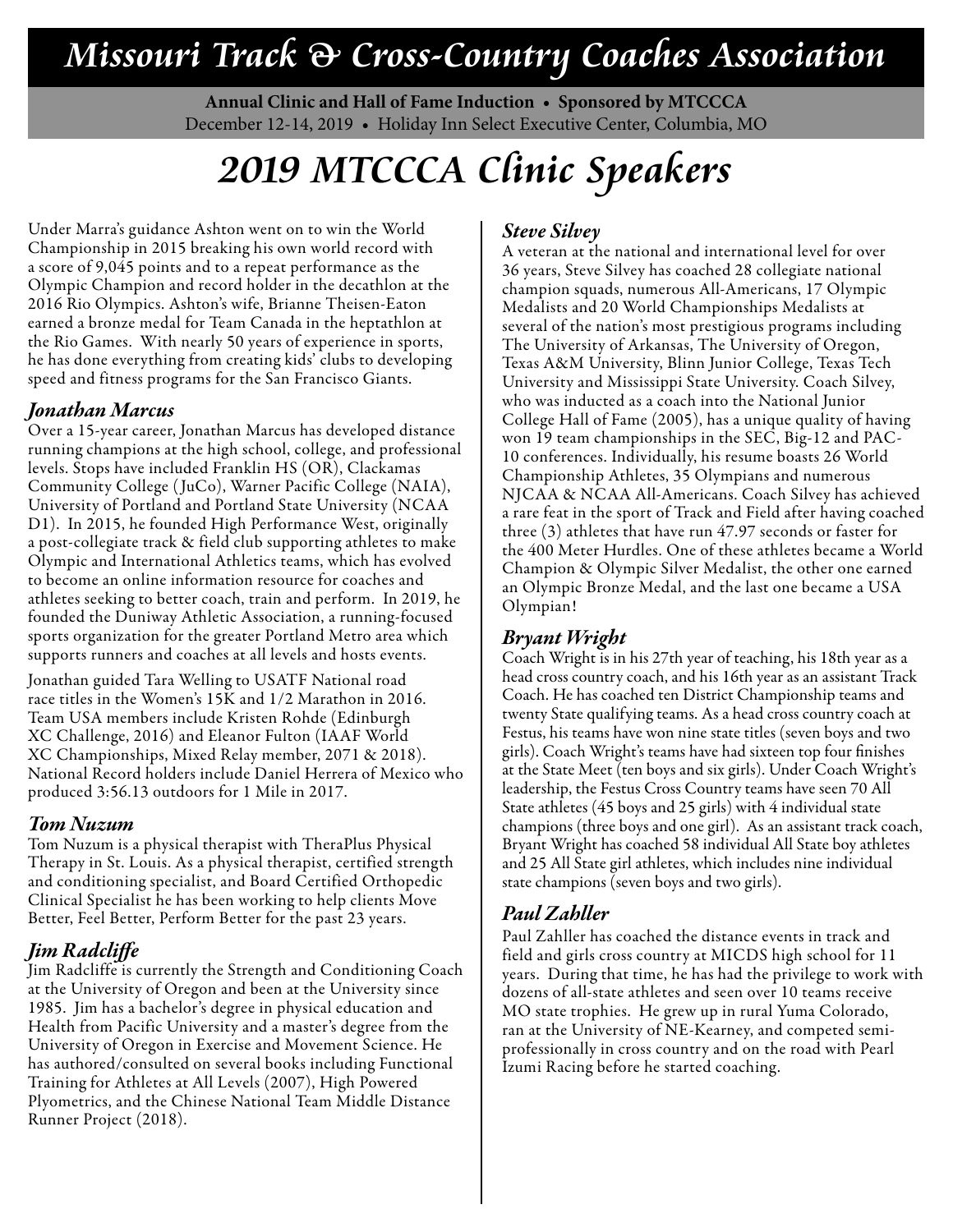### **Missouri Track & Cross-Country Coaches Association**

**Annual Clinic and Hall of Fame Induction • Sponsored by MTCCCA** December 12-14, 2019 • Holiday Inn Select Executive Center, Columbia, MO

# **2019 MTCCCA Clinic Speakers**

Under Marra's guidance Ashton went on to win the World Championship in 2015 breaking his own world record with a score of 9,045 points and to a repeat performance as the Olympic Champion and record holder in the decathlon at the 2016 Rio Olympics. Ashton's wife, Brianne Theisen-Eaton earned a bronze medal for Team Canada in the heptathlon at the Rio Games. With nearly 50 years of experience in sports, he has done everything from creating kids' clubs to developing speed and fitness programs for the San Francisco Giants.

#### *Jonathan Marcus*

Over a 15-year career, Jonathan Marcus has developed distance running champions at the high school, college, and professional levels. Stops have included Franklin HS (OR), Clackamas Community College ( JuCo), Warner Pacific College (NAIA), University of Portland and Portland State University (NCAA D1). In 2015, he founded High Performance West, originally a post-collegiate track & field club supporting athletes to make Olympic and International Athletics teams, which has evolved to become an online information resource for coaches and athletes seeking to better coach, train and perform. In 2019, he founded the Duniway Athletic Association, a running-focused sports organization for the greater Portland Metro area which supports runners and coaches at all levels and hosts events.

Jonathan guided Tara Welling to USATF National road race titles in the Women's 15K and 1/2 Marathon in 2016. Team USA members include Kristen Rohde (Edinburgh XC Challenge, 2016) and Eleanor Fulton (IAAF World XC Championships, Mixed Relay member, 2071 & 2018). National Record holders include Daniel Herrera of Mexico who produced 3:56.13 outdoors for 1 Mile in 2017.

#### *Tom Nuzum*

Tom Nuzum is a physical therapist with TheraPlus Physical Therapy in St. Louis. As a physical therapist, certified strength and conditioning specialist, and Board Certified Orthopedic Clinical Specialist he has been working to help clients Move Better, Feel Better, Perform Better for the past 23 years.

### *Jim Radcliffe*

Jim Radcliffe is currently the Strength and Conditioning Coach at the University of Oregon and been at the University since 1985. Jim has a bachelor's degree in physical education and Health from Pacific University and a master's degree from the University of Oregon in Exercise and Movement Science. He has authored/consulted on several books including Functional Training for Athletes at All Levels (2007), High Powered Plyometrics, and the Chinese National Team Middle Distance Runner Project (2018).

#### *Steve Silvey*

A veteran at the national and international level for over 36 years, Steve Silvey has coached 28 collegiate national champion squads, numerous All-Americans, 17 Olympic Medalists and 20 World Championships Medalists at several of the nation's most prestigious programs including The University of Arkansas, The University of Oregon, Texas A&M University, Blinn Junior College, Texas Tech University and Mississippi State University. Coach Silvey, who was inducted as a coach into the National Junior College Hall of Fame (2005), has a unique quality of having won 19 team championships in the SEC, Big-12 and PAC-10 conferences. Individually, his resume boasts 26 World Championship Athletes, 35 Olympians and numerous NJCAA & NCAA All-Americans. Coach Silvey has achieved a rare feat in the sport of Track and Field after having coached three (3) athletes that have run 47.97 seconds or faster for the 400 Meter Hurdles. One of these athletes became a World Champion & Olympic Silver Medalist, the other one earned an Olympic Bronze Medal, and the last one became a USA Olympian!

### *Bryant Wright*

Coach Wright is in his 27th year of teaching, his 18th year as a head cross country coach, and his 16th year as an assistant Track Coach. He has coached ten District Championship teams and twenty State qualifying teams. As a head cross country coach at Festus, his teams have won nine state titles (seven boys and two girls). Coach Wright's teams have had sixteen top four finishes at the State Meet (ten boys and six girls). Under Coach Wright's leadership, the Festus Cross Country teams have seen 70 All State athletes (45 boys and 25 girls) with 4 individual state champions (three boys and one girl). As an assistant track coach, Bryant Wright has coached 58 individual All State boy athletes and 25 All State girl athletes, which includes nine individual state champions (seven boys and two girls).

### *Paul Zahller*

Paul Zahller has coached the distance events in track and field and girls cross country at MICDS high school for 11 years. During that time, he has had the privilege to work with dozens of all-state athletes and seen over 10 teams receive MO state trophies. He grew up in rural Yuma Colorado, ran at the University of NE-Kearney, and competed semiprofessionally in cross country and on the road with Pearl Izumi Racing before he started coaching.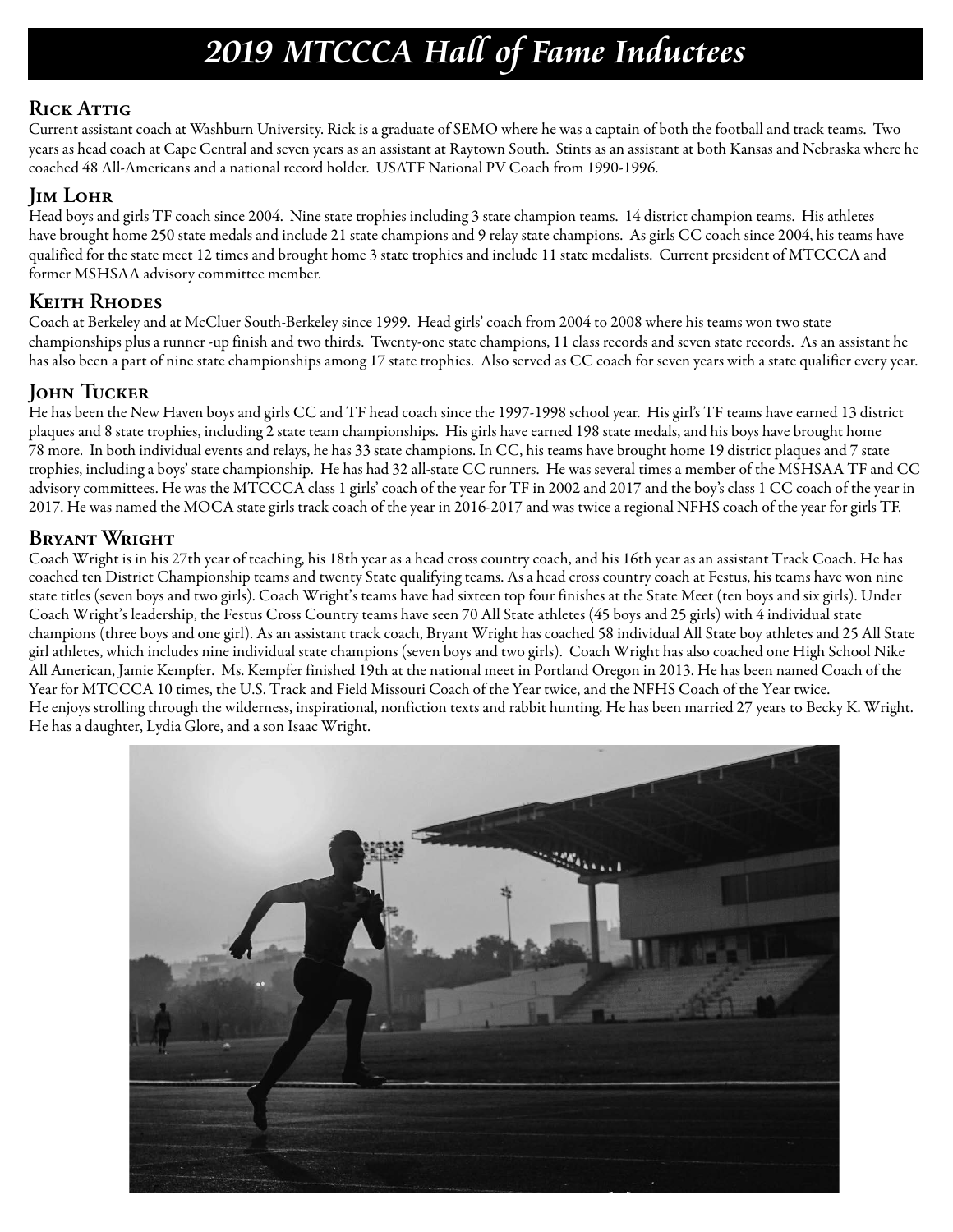### **2019 MTCCCA Hall of Fame Inductees**

### **Rick Attig**

Current assistant coach at Washburn University. Rick is a graduate of SEMO where he was a captain of both the football and track teams. Two years as head coach at Cape Central and seven years as an assistant at Raytown South. Stints as an assistant at both Kansas and Nebraska where he coached 48 All-Americans and a national record holder. USATF National PV Coach from 1990-1996.

### **Jim Lohr**

Head boys and girls TF coach since 2004. Nine state trophies including 3 state champion teams. 14 district champion teams. His athletes have brought home 250 state medals and include 21 state champions and 9 relay state champions. As girls CC coach since 2004, his teams have qualified for the state meet 12 times and brought home 3 state trophies and include 11 state medalists. Current president of MTCCCA and former MSHSAA advisory committee member.

### **Keith Rhodes**

Coach at Berkeley and at McCluer South-Berkeley since 1999. Head girls' coach from 2004 to 2008 where his teams won two state championships plus a runner -up finish and two thirds. Twenty-one state champions, 11 class records and seven state records. As an assistant he has also been a part of nine state championships among 17 state trophies. Also served as CC coach for seven years with a state qualifier every year.

### **John Tucker**

He has been the New Haven boys and girls CC and TF head coach since the 1997-1998 school year. His girl's TF teams have earned 13 district plaques and 8 state trophies, including 2 state team championships. His girls have earned 198 state medals, and his boys have brought home 78 more. In both individual events and relays, he has 33 state champions. In CC, his teams have brought home 19 district plaques and 7 state trophies, including a boys' state championship. He has had 32 all-state CC runners. He was several times a member of the MSHSAA TF and CC advisory committees. He was the MTCCCA class 1 girls' coach of the year for TF in 2002 and 2017 and the boy's class 1 CC coach of the year in 2017. He was named the MOCA state girls track coach of the year in 2016-2017 and was twice a regional NFHS coach of the year for girls TF.

### **Bryant Wright**

Coach Wright is in his 27th year of teaching, his 18th year as a head cross country coach, and his 16th year as an assistant Track Coach. He has coached ten District Championship teams and twenty State qualifying teams. As a head cross country coach at Festus, his teams have won nine state titles (seven boys and two girls). Coach Wright's teams have had sixteen top four finishes at the State Meet (ten boys and six girls). Under Coach Wright's leadership, the Festus Cross Country teams have seen 70 All State athletes (45 boys and 25 girls) with 4 individual state champions (three boys and one girl). As an assistant track coach, Bryant Wright has coached 58 individual All State boy athletes and 25 All State girl athletes, which includes nine individual state champions (seven boys and two girls). Coach Wright has also coached one High School Nike All American, Jamie Kempfer. Ms. Kempfer finished 19th at the national meet in Portland Oregon in 2013. He has been named Coach of the Year for MTCCCA 10 times, the U.S. Track and Field Missouri Coach of the Year twice, and the NFHS Coach of the Year twice. He enjoys strolling through the wilderness, inspirational, nonfiction texts and rabbit hunting. He has been married 27 years to Becky K. Wright. He has a daughter, Lydia Glore, and a son Isaac Wright.

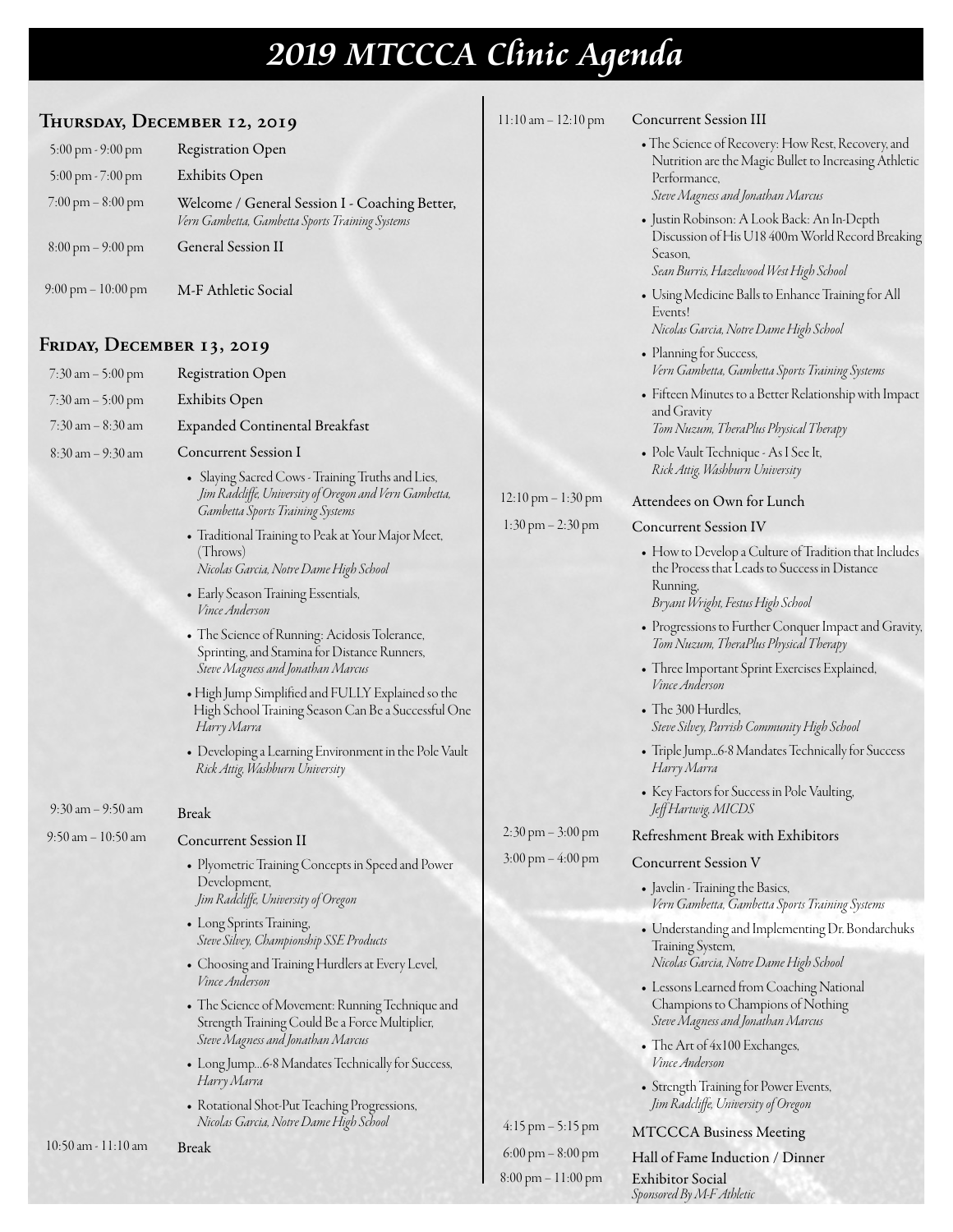# **2019 MTCCCA Clinic Agenda**

| THURSDAY, DECEMBER 12, 2019          |                                                                                                                                                              | $11:10$ am $- 12:10$ pm              | <b>Concurrent Session III</b>                                                                               |
|--------------------------------------|--------------------------------------------------------------------------------------------------------------------------------------------------------------|--------------------------------------|-------------------------------------------------------------------------------------------------------------|
| 5:00 pm - 9:00 pm                    | <b>Registration Open</b>                                                                                                                                     |                                      | • The Science of Recovery: How Rest, Recovery, and<br>Nutrition are the Magic Bullet to Increasing Athletic |
| 5:00 pm - 7:00 pm                    | Exhibits Open                                                                                                                                                |                                      | Performance,                                                                                                |
| $7:00 \text{ pm} - 8:00 \text{ pm}$  | Welcome / General Session I - Coaching Better,<br>Vern Gambetta, Gambetta Sports Training Systems                                                            |                                      | Steve Magness and Jonathan Marcus<br>· Justin Robinson: A Look Back: An In-Depth                            |
| $8:00 \text{ pm} - 9:00 \text{ pm}$  | General Session II                                                                                                                                           |                                      | Discussion of His U18 400m World Record Breaking<br>Season,<br>Sean Burris, Hazelwood West High School      |
| $9:00 \text{ pm} - 10:00 \text{ pm}$ | M-F Athletic Social                                                                                                                                          |                                      | • Using Medicine Balls to Enhance Training for All<br>Events!<br>Nicolas Garcia, Notre Dame High School     |
| FRIDAY, DECEMBER 13, 2019            |                                                                                                                                                              |                                      | • Planning for Success,                                                                                     |
| $7:30$ am $-5:00$ pm                 | <b>Registration Open</b>                                                                                                                                     |                                      | Vern Gambetta, Gambetta Sports Training Systems                                                             |
| 7:30 am - 5:00 pm                    | Exhibits Open                                                                                                                                                |                                      | • Fifteen Minutes to a Better Relationship with Impact                                                      |
| $7:30$ am $-8:30$ am                 | Expanded Continental Breakfast                                                                                                                               |                                      | and Gravity<br>Tom Nuzum, TheraPlus Physical Therapy                                                        |
| $8:30$ am $-9:30$ am                 | <b>Concurrent Session I</b>                                                                                                                                  |                                      | • Pole Vault Technique - As I See It,<br>Rick Attig, Washburn University                                    |
|                                      | • Slaying Sacred Cows - Training Truths and Lies,<br>Jim Radcliffe, University of Oregon and Vern Gambetta,                                                  | $12:10 \text{ pm} - 1:30 \text{ pm}$ | Attendees on Own for Lunch                                                                                  |
|                                      | Gambetta Sports Training Systems<br>• Traditional Training to Peak at Your Major Meet,                                                                       | $1:30 \text{ pm} - 2:30 \text{ pm}$  | <b>Concurrent Session IV</b>                                                                                |
|                                      | (Throws)<br>Nicolas Garcia, Notre Dame High School                                                                                                           |                                      | • How to Develop a Culture of Tradition that Includes<br>the Process that Leads to Success in Distance      |
|                                      | • Early Season Training Essentials,<br><i>Vince Anderson</i>                                                                                                 |                                      | Running,<br>Bryant Wright, Festus High School                                                               |
|                                      | • The Science of Running: Acidosis Tolerance,<br>Sprinting, and Stamina for Distance Runners,                                                                |                                      | • Progressions to Further Conquer Impact and Gravity,<br>Tom Nuzum, TheraPlus Physical Therapy              |
|                                      | Steve Magness and Jonathan Marcus<br>• High Jump Simplified and FULLY Explained so the<br>High School Training Season Can Be a Successful One<br>Harry Marra |                                      | • Three Important Sprint Exercises Explained,<br>Vince Anderson                                             |
|                                      |                                                                                                                                                              |                                      | • The 300 Hurdles,<br>Steve Silvey, Parrish Community High School                                           |
|                                      | • Developing a Learning Environment in the Pole Vault<br>Rick Attig, Washburn University                                                                     |                                      | • Triple Jump6-8 Mandates Technically for Success<br>Harry Marra                                            |
| $9:30$ am $-9:50$ am                 | <b>Break</b>                                                                                                                                                 |                                      | • Key Factors for Success in Pole Vaulting,<br>Jeff Hartwig, MICDS                                          |
| $9:50$ am $-10:50$ am                | <b>Concurrent Session II</b>                                                                                                                                 | $2:30 \text{ pm} - 3:00 \text{ pm}$  | Refreshment Break with Exhibitors                                                                           |
|                                      | • Plyometric Training Concepts in Speed and Power                                                                                                            | $3:00 \text{ pm} - 4:00 \text{ pm}$  | <b>Concurrent Session V</b>                                                                                 |
|                                      | Development,<br>Jim Radcliffe, University of Oregon                                                                                                          |                                      | • Javelin - Training the Basics,<br>Vern Gambetta, Gambetta Sports Training Systems                         |
|                                      | • Long Sprints Training,<br>Steve Silvey, Championship SSE Products                                                                                          |                                      | • Understanding and Implementing Dr. Bondarchuks<br>Training System,                                        |
|                                      | • Choosing and Training Hurdlers at Every Level,<br><i>Vince Anderson</i>                                                                                    |                                      | Nicolas Garcia, Notre Dame High School<br>• Lessons Learned from Coaching National                          |
|                                      | • The Science of Movement: Running Technique and<br>Strength Training Could Be a Force Multiplier,                                                           |                                      | Champions to Champions of Nothing<br>Steve Magness and Jonathan Marcus                                      |
|                                      | Steve Magness and Jonathan Marcus<br>• Long Jump6-8 Mandates Technically for Success,                                                                        |                                      | • The Art of 4x100 Exchanges,<br><i>Vince Anderson</i>                                                      |
|                                      | Harry Marra<br>• Rotational Shot-Put Teaching Progressions,                                                                                                  |                                      | • Strength Training for Power Events,<br>Jim Radcliffe, University of Oregon                                |
|                                      | Nicolas Garcia, Notre Dame High School                                                                                                                       | $4:15 \text{ pm} - 5:15 \text{ pm}$  | <b>MTCCCA Business Meeting</b>                                                                              |
| $10:50$ am - $11:10$ am              | <b>Break</b>                                                                                                                                                 | $6:00 \text{ pm} - 8:00 \text{ pm}$  | Hall of Fame Induction / Dinner                                                                             |

Hall of Fame Induction / Dinner Exhibitor Social *Sponsored By M-F Athletic*

8:00 pm – 11:00 pm

L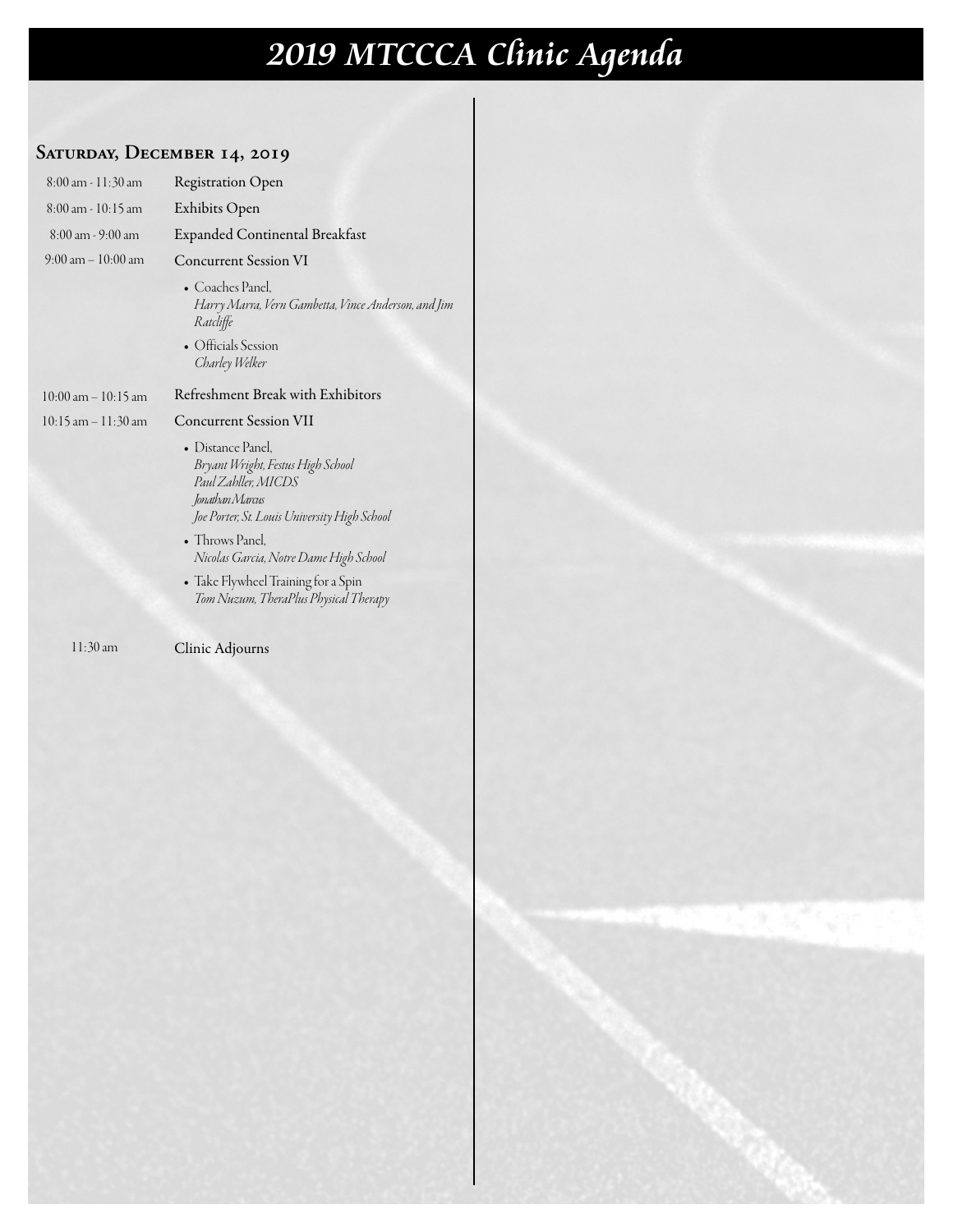# **2019 MTCCCA Clinic Agenda**

### **Saturday, December 14, 2019**

| Exhibits Open<br>$8:00$ am - $10:15$ am<br>Expanded Continental Breakfast<br>$8:00$ am - $9:00$ am<br>$9:00 \text{ am} - 10:00 \text{ am}$<br><b>Concurrent Session VI</b><br>$\bullet$ Coaches Panel. |  |  |  |
|--------------------------------------------------------------------------------------------------------------------------------------------------------------------------------------------------------|--|--|--|
|                                                                                                                                                                                                        |  |  |  |
|                                                                                                                                                                                                        |  |  |  |
|                                                                                                                                                                                                        |  |  |  |
| Harry Marra, Vern Gambetta, Vince Anderson, and Jim<br>Ratcliffe                                                                                                                                       |  |  |  |
| • Officials Session<br>Charley Welker                                                                                                                                                                  |  |  |  |
| Refreshment Break with Exhibitors<br>$10:00$ am $-10:15$ am                                                                                                                                            |  |  |  |
| <b>Concurrent Session VII</b><br>10:15 am - 11:30 am                                                                                                                                                   |  |  |  |
| $\bullet$ Distance Panel.<br>Bryant Wright, Festus High School<br>Paul Zahller, MICDS<br>Jonathan Marcus<br>Joe Porter, St. Louis University High School                                               |  |  |  |
| • Throws Panel,<br>Nicolas Garcia, Notre Dame High School                                                                                                                                              |  |  |  |
| • Take Flywheel Training for a Spin<br>Tom Nuzum, TheraPlus Physical Therapy                                                                                                                           |  |  |  |

11:30 am

Clinic Adjourns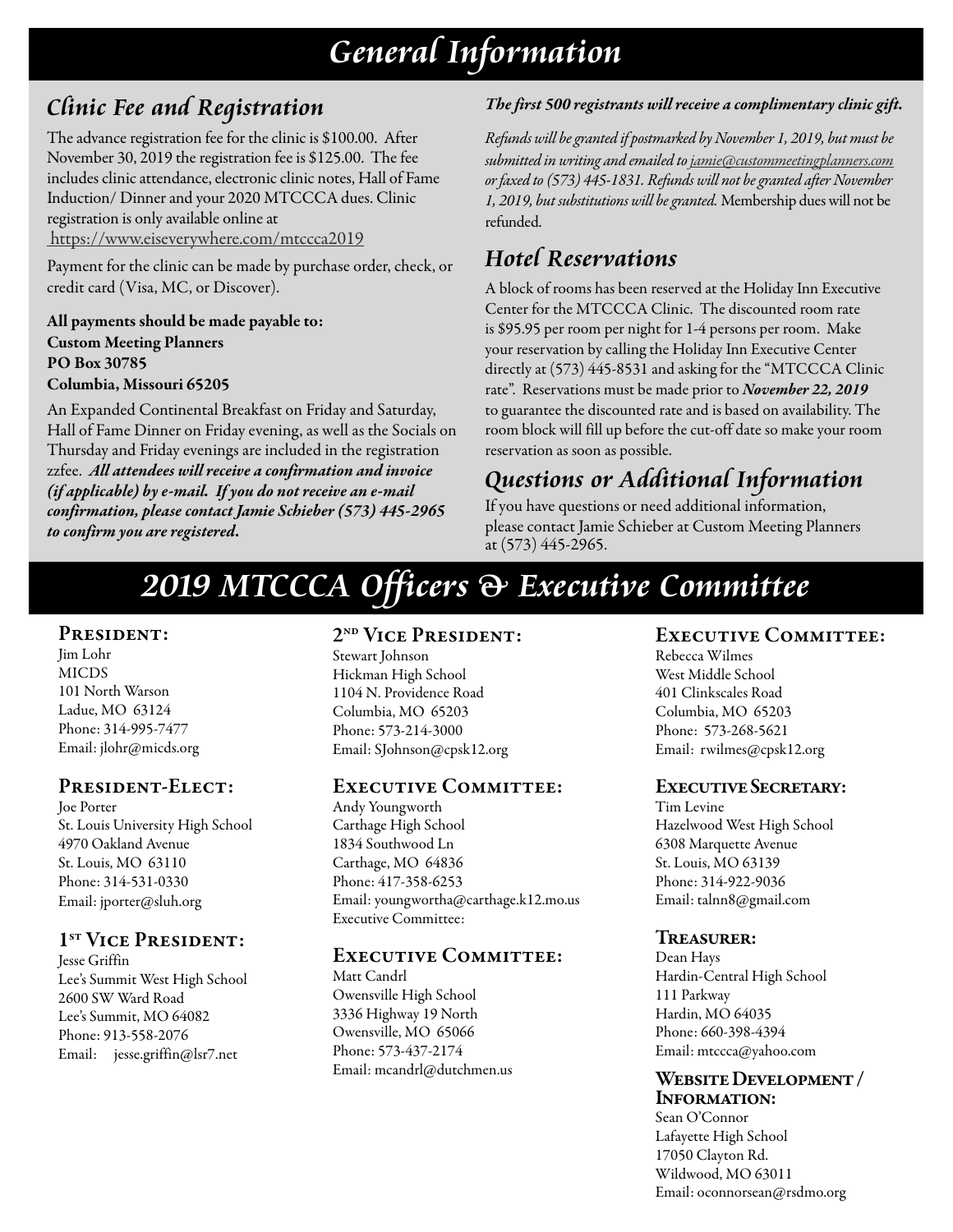### **General Information**

### **Clinic Fee and Registration**

The advance registration fee for the clinic is \$100.00. After November 30, 2019 the registration fee is \$125.00. The fee includes clinic attendance, electronic clinic notes, Hall of Fame Induction/ Dinner and your 2020 MTCCCA dues. Clinic registration is only available online at https://www.eiseverywhere.com/mtccca2019

Payment for the clinic can be made by purchase order, check, or credit card (Visa, MC, or Discover).

All payments should be made payable to: Custom Meeting Planners PO Box 30785 Columbia, Missouri 65205

An Expanded Continental Breakfast on Friday and Saturday, Hall of Fame Dinner on Friday evening, as well as the Socials on Thursday and Friday evenings are included in the registration zzfee. *All attendees will receive a confirmation and invoice (if applicable) by e-mail. If you do not receive an e-mail confirmation, please contact Jamie Schieber (573) 445-2965 to confirm you are registered.*

### *The first 500 registrants will receive a complimentary clinic gift.*

*Refunds will be granted if postmarked by November 1, 2019, but must be submitted in writing and emailed to jamie@custommeetingplanners.com or faxed to (573) 445-1831. Refunds will not be granted after November 1, 2019, but substitutions will be granted.* Membership dues will not be refunded.

### **Hotel Reservations**

A block of rooms has been reserved at the Holiday Inn Executive Center for the MTCCCA Clinic. The discounted room rate is \$95.95 per room per night for 1-4 persons per room. Make your reservation by calling the Holiday Inn Executive Center directly at (573) 445-8531 and asking for the "MTCCCA Clinic rate". Reservations must be made prior to *November 22, 2019* to guarantee the discounted rate and is based on availability. The room block will fill up before the cut-off date so make your room reservation as soon as possible.

### **Questions or Additional Information**

If you have questions or need additional information, please contact Jamie Schieber at Custom Meeting Planners at (573) 445-2965.

## **2019 MTCCCA Officers & Executive Committee**

### PRESIDENT:

Jim Lohr MICDS 101 North Warson Ladue, MO 63124 Phone: 314-995-7477 Email: jlohr@micds.org

### President-Elect:

Joe Porter St. Louis University High School 4970 Oakland Avenue St. Louis, MO 63110 Phone: 314-531-0330 Email: jporter@sluh.org

### 1<sup>st</sup> VICE PRESIDENT:

Jesse Griffin Lee's Summit West High School 2600 SW Ward Road Lee's Summit, MO 64082 Phone: 913-558-2076 Email: jesse.griffin@lsr7.net

### 2<sup>ND</sup> VICE PRESIDENT:

Stewart Johnson Hickman High School 1104 N. Providence Road Columbia, MO 65203 Phone: 573-214-3000 Email: SJohnson@cpsk12.org

### Executive Committee:

Andy Youngworth Carthage High School 1834 Southwood Ln Carthage, MO 64836 Phone: 417-358-6253 Email: youngwortha@carthage.k12.mo.us Executive Committee:

### Executive Committee:

Matt Candrl Owensville High School 3336 Highway 19 North Owensville, MO 65066 Phone: 573-437-2174 Email: mcandrl@dutchmen.us

### EXECUTIVE COMMITTEE:

Rebecca Wilmes West Middle School 401 Clinkscales Road Columbia, MO 65203 Phone: 573-268-5621 Email: rwilmes@cpsk12.org

### Executive Secretary:

Tim Levine Hazelwood West High School 6308 Marquette Avenue St. Louis, MO 63139 Phone: 314-922-9036 Email: talnn8@gmail.com

### Treasurer:

Dean Hays Hardin-Central High School 111 Parkway Hardin, MO 64035 Phone: 660-398-4394 Email: mtccca@yahoo.com

#### Website Development / INFORMATION:

Sean O'Connor Lafayette High School 17050 Clayton Rd. Wildwood, MO 63011 Email: oconnorsean@rsdmo.org